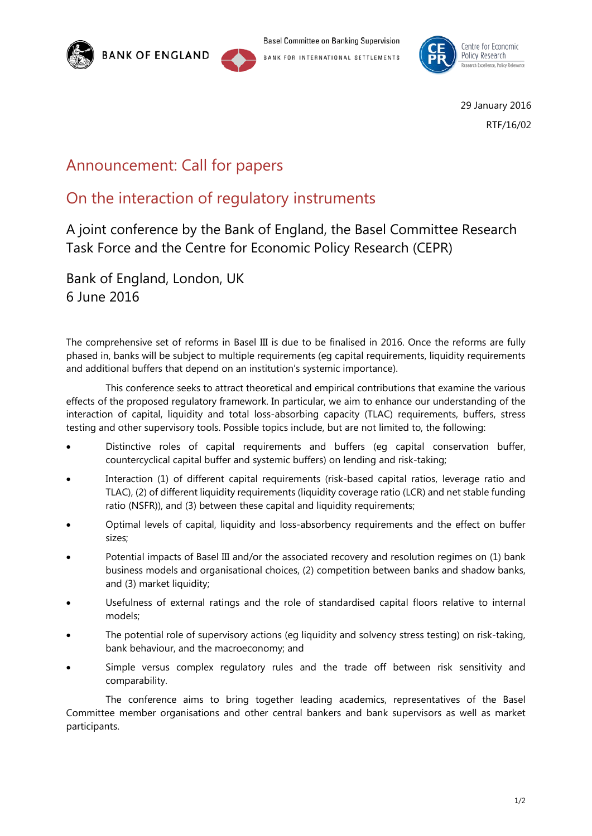

**Basel Committee on Banking Supervision** BANK FOR INTERNATIONAL SETTLEMENTS



29 January 2016 RTF/16/02

## Announcement: Call for papers

## On the interaction of regulatory instruments

A joint conference by the Bank of England, the Basel Committee Research Task Force and the Centre for Economic Policy Research (CEPR)

Bank of England, London, UK 6 June 2016

The comprehensive set of reforms in Basel III is due to be finalised in 2016. Once the reforms are fully phased in, banks will be subject to multiple requirements (eg capital requirements, liquidity requirements and additional buffers that depend on an institution's systemic importance).

This conference seeks to attract theoretical and empirical contributions that examine the various effects of the proposed regulatory framework. In particular, we aim to enhance our understanding of the interaction of capital, liquidity and total loss-absorbing capacity (TLAC) requirements, buffers, stress testing and other supervisory tools. Possible topics include, but are not limited to, the following:

- Distinctive roles of capital requirements and buffers (eg capital conservation buffer, countercyclical capital buffer and systemic buffers) on lending and risk-taking;
- Interaction (1) of different capital requirements (risk-based capital ratios, leverage ratio and TLAC), (2) of different liquidity requirements (liquidity coverage ratio (LCR) and net stable funding ratio (NSFR)), and (3) between these capital and liquidity requirements;
- Optimal levels of capital, liquidity and loss-absorbency requirements and the effect on buffer sizes;
- Potential impacts of Basel III and/or the associated recovery and resolution regimes on (1) bank business models and organisational choices, (2) competition between banks and shadow banks, and (3) market liquidity;
- Usefulness of external ratings and the role of standardised capital floors relative to internal models;
- The potential role of supervisory actions (eg liquidity and solvency stress testing) on risk-taking, bank behaviour, and the macroeconomy; and
- Simple versus complex regulatory rules and the trade off between risk sensitivity and comparability.

The conference aims to bring together leading academics, representatives of the Basel Committee member organisations and other central bankers and bank supervisors as well as market participants.